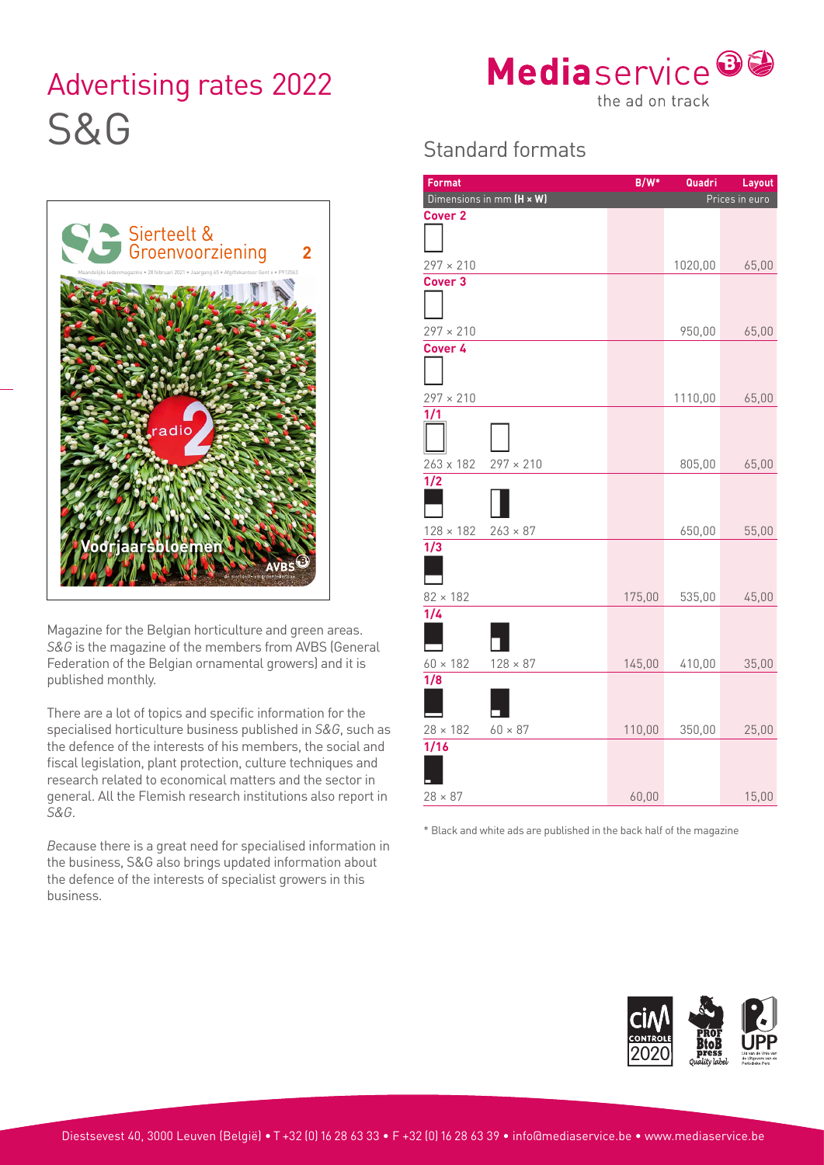## Advertising rates 2022 Meuld Sel VICE S&G Standard formats



**Format B/W\* Quadri Layout**

|                     | Dimensions in mm (H x W)      |                  | Prices in euro |         |       |
|---------------------|-------------------------------|------------------|----------------|---------|-------|
|                     | Cover <sub>2</sub>            |                  |                |         |       |
|                     |                               |                  |                |         |       |
|                     | $297 \times 210$              |                  |                | 1020,00 | 65,00 |
|                     | Cover <sub>3</sub>            |                  |                |         |       |
|                     |                               |                  |                |         |       |
|                     | $297 \times 210$              |                  |                | 950,00  | 65,00 |
|                     | Cover 4                       |                  |                |         |       |
|                     |                               |                  |                |         |       |
|                     |                               |                  |                |         |       |
|                     | $297 \times 210$<br>1/1       |                  |                | 1110,00 | 65,00 |
|                     |                               |                  |                |         |       |
|                     |                               |                  |                |         |       |
|                     | 263 x 182<br>$\overline{1/2}$ | $297 \times 210$ |                | 805,00  | 65,00 |
|                     |                               |                  |                |         |       |
|                     |                               |                  |                |         |       |
|                     | $128 \times 182$              | $263 \times 87$  |                | 650,00  | 55,00 |
|                     | 1/3                           |                  |                |         |       |
|                     |                               |                  |                |         |       |
|                     | $82 \times 182$               |                  | 175,00         | 535,00  | 45,00 |
|                     | 1/4                           |                  |                |         |       |
| areas.<br>(General  |                               |                  |                |         |       |
| nd it is            | $60 \times 182$               | $128 \times 87$  | 145,00         | 410,00  | 35,00 |
|                     | 1/8                           |                  |                |         |       |
| or the              |                               |                  |                |         |       |
| $G$ , such as       | $28 \times 182$               | $60 \times 87$   | 110,00         | 350,00  | 25,00 |
| ocial and           | 1/16                          |                  |                |         |       |
| ues and<br>ector in |                               |                  |                |         |       |
|                     |                               |                  |                |         |       |

\* Black and white ads are published in the back half of the magazine



60,00 15,00

Sierteelt & Groenvoorziening **2** Maandelijks ledenmagazine • 28 februari 2021 • Jaargang 65 • Afgiftekantoor Gent x • P912063 **Voorjaarsbloemen**

Magazine for the Belgian horticulture and green a *S&G* is the magazine of the members from AVBS Federation of the Belgian ornamental growers) an published monthly.

There are a lot of topics and specific information for specialised horticulture business published in S& the defence of the interests of his members, the s fiscal legislation, plant protection, culture techniq research related to economical matters and the sector in general. All the Flemish research institutions also report in *S&G*.

*B*ecause there is a great need for specialised information in the business, S&G also brings updated information about the defence of the interests of specialist growers in this business.

 $28 \times 87$